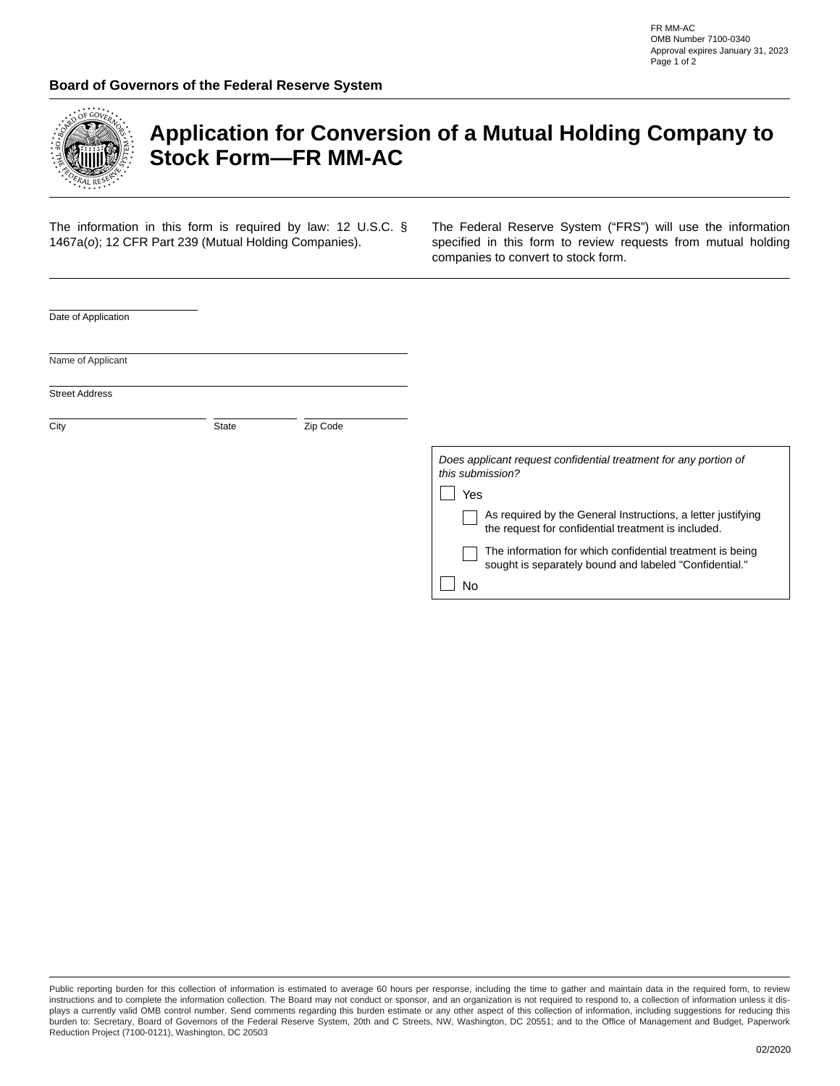

## **Application for Conversion of a Mutual Holding Company to Stock Form—FR MM-AC**

The information in this form is required by law: 12 U.S.C. § 1467a(*o*); 12 CFR Part 239 (Mutual Holding Companies).

The Federal Reserve System ("FRS") will use the information specified in this form to review requests from mutual holding companies to convert to stock form.

| Date of Application   |       |          |                                                                                                                     |
|-----------------------|-------|----------|---------------------------------------------------------------------------------------------------------------------|
| Name of Applicant     |       |          |                                                                                                                     |
| <b>Street Address</b> |       |          |                                                                                                                     |
| City                  | State | Zip Code |                                                                                                                     |
|                       |       |          | Does applicant request confidential treatment for any portion of<br>this submission?                                |
|                       |       |          | Yes                                                                                                                 |
|                       |       |          | As required by the General Instructions, a letter justifying<br>the request for confidential treatment is included. |
|                       |       |          | The information for which confidential treatment is being<br>sought is separately bound and labeled "Confidential." |
|                       |       |          | No                                                                                                                  |

Public reporting burden for this collection of information is estimated to average 60 hours per response, including the time to gather and maintain data in the required form, to review instructions and to complete the information collection. The Board may not conduct or sponsor, and an organization is not required to respond to, a collection of information unless it displays a currently valid OMB control number. Send comments regarding this burden estimate or any other aspect of this collection of information, including suggestions for reducing this burden to: Secretary, Board of Governors of the Federal Reserve System, 20th and C Streets, NW, Washington, DC 20551; and to the Office of Management and Budget, Paperwork Reduction Project (7100-0121), Washington, DC 20503